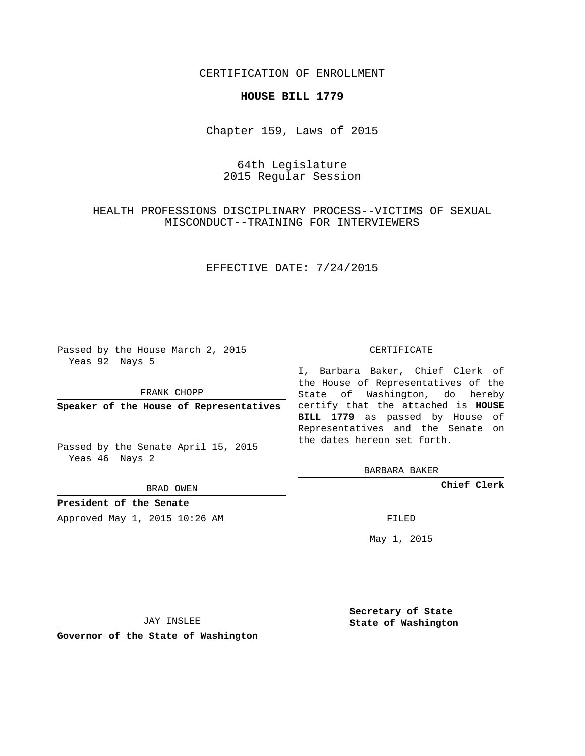### CERTIFICATION OF ENROLLMENT

#### **HOUSE BILL 1779**

Chapter 159, Laws of 2015

# 64th Legislature 2015 Regular Session

# HEALTH PROFESSIONS DISCIPLINARY PROCESS--VICTIMS OF SEXUAL MISCONDUCT--TRAINING FOR INTERVIEWERS

## EFFECTIVE DATE: 7/24/2015

Passed by the House March 2, 2015 Yeas 92 Nays 5

FRANK CHOPP

Passed by the Senate April 15, 2015 Yeas 46 Nays 2

BRAD OWEN

**President of the Senate**

Approved May 1, 2015 10:26 AM FILED

#### CERTIFICATE

**Speaker of the House of Representatives** certify that the attached is **HOUSE** I, Barbara Baker, Chief Clerk of the House of Representatives of the State of Washington, do hereby **BILL 1779** as passed by House of Representatives and the Senate on the dates hereon set forth.

BARBARA BAKER

**Chief Clerk**

May 1, 2015

JAY INSLEE

**Governor of the State of Washington**

**Secretary of State State of Washington**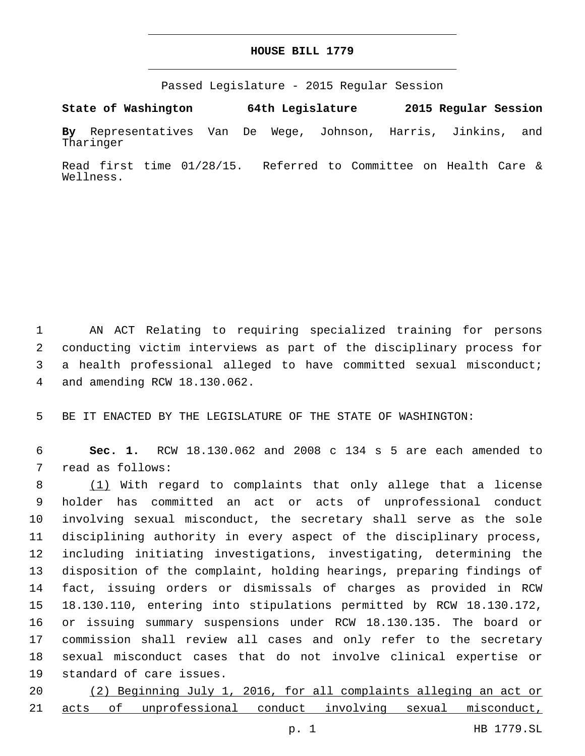### **HOUSE BILL 1779**

Passed Legislature - 2015 Regular Session

**State of Washington 64th Legislature 2015 Regular Session**

**By** Representatives Van De Wege, Johnson, Harris, Jinkins, and Tharinger

Read first time 01/28/15. Referred to Committee on Health Care & Wellness.

 AN ACT Relating to requiring specialized training for persons conducting victim interviews as part of the disciplinary process for a health professional alleged to have committed sexual misconduct; and amending RCW 18.130.062.4

5 BE IT ENACTED BY THE LEGISLATURE OF THE STATE OF WASHINGTON:

6 **Sec. 1.** RCW 18.130.062 and 2008 c 134 s 5 are each amended to 7 read as follows:

8 (1) With regard to complaints that only allege that a license holder has committed an act or acts of unprofessional conduct involving sexual misconduct, the secretary shall serve as the sole disciplining authority in every aspect of the disciplinary process, including initiating investigations, investigating, determining the disposition of the complaint, holding hearings, preparing findings of fact, issuing orders or dismissals of charges as provided in RCW 18.130.110, entering into stipulations permitted by RCW 18.130.172, or issuing summary suspensions under RCW 18.130.135. The board or commission shall review all cases and only refer to the secretary sexual misconduct cases that do not involve clinical expertise or 19 standard of care issues.

20 (2) Beginning July 1, 2016, for all complaints alleging an act or 21 acts of unprofessional conduct involving sexual misconduct,